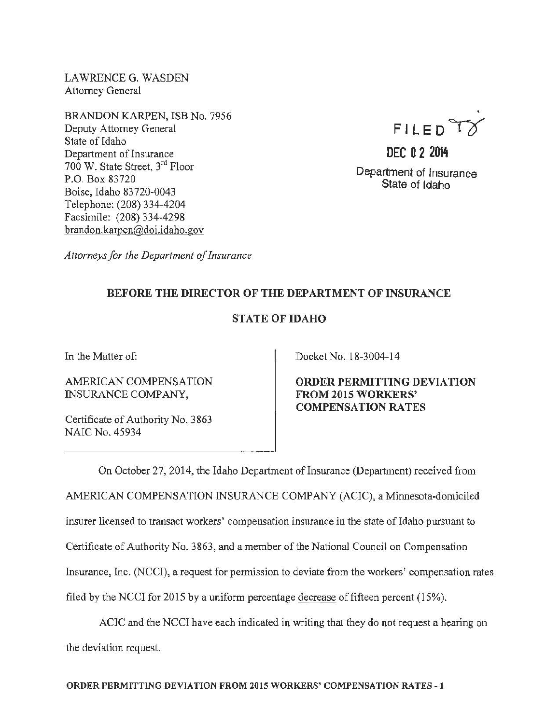LAWRENCE G. WASDEN Attorney General

BRANDON KARPEN, ISB No. 7956 Deputy Attorney General State of Idaho Department of Insurance 700 W. State Street, 3rd Floor P.O. Box 83720 Boise, Idaho 83 720-0043 Telephone: (208) 334-4204 Facsimile: (208) 334-4298 brandon.karpen@doi.idaho.gov

FILED TX

DEC 0 2 2014 Department of Insurance State of Idaho

*Attorneys for the Department of Insurance* 

## BEFORE THE DIRECTOR OF THE DEPARTMENT OF INSURANCE

## STATE OF IDAHO

In the Matter of:

AMERICAN COMPENSATION INSURANCE COMPANY,

Certificate of Authority No. 3863 NAIC No. 45934

Docket No. 18-3004-14

ORDER PERMITTING DEVIATION FROM 2015 WORKERS' COMPENSATION RATES

On October 27, 2014, the Idaho Department of Insurance (Department) received from AMERICAN COMPENSATION INSURANCE COMPANY (ACIC), a Minnesota-domiciled insurer licensed to transact workers' compensation insurance in the state of Idaho pursuant to Certificate of Authority No. 3863, and a member of the National Council on Compensation Insurance, Inc. (NCCI), a request for permission to deviate from the workers' compensation rates filed by the NCCI for 2015 by a uniform percentage decrease of fifteen percent (15%).

ACIC and the NCCI have each indicated in writing that they do not request a hearing on the deviation request.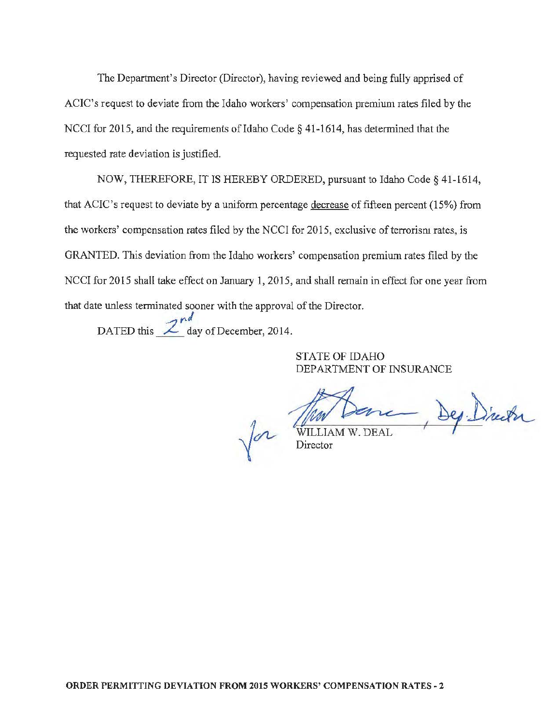The Department's Director (Director), having reviewed and being fully apprised of ACIC's request to deviate from the Idaho workers' compensation premium rates filed by the NCCI for 2015, and the requirements of Idaho Code § 41-1614, has determined that the requested rate deviation is justified.

NOW, THEREFORE, IT IS HEREBY ORDERED, pursuant to Idaho Code§ 41-1614, that ACIC's request to deviate by a uniform percentage decrease of fifteen percent (15%) from the workers' compensation rates filed by the NCCI for 2015, exclusive of terrorism rates, is GRANTED. This deviation from the Idaho workers' compensation premium rates filed by the NCCI for 2015 shall take effect on January 1, 2015, and shall remain in effect for one year from that date unless terminated sooner with the approval of the Director.

DATED this  $\frac{2^{nd}}{2^{nd}}$  day of December, 2014.

STATE OF IDAHO DEPARTMENT OF INSURANCE

-, Dep. Director

 $\sqrt{\phantom{a}}$  Director